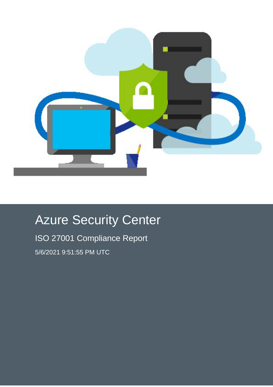

# Azure Security Center

ISO 27001 Compliance Report 5/6/2021 9:51:55 PM UTC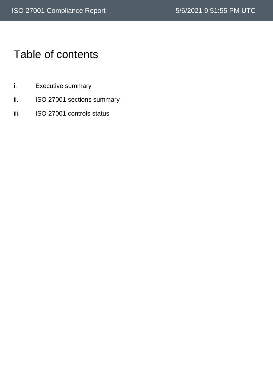# Table of contents

- i. Executive summary
- ii. ISO 27001 sections summary
- iii. ISO 27001 controls status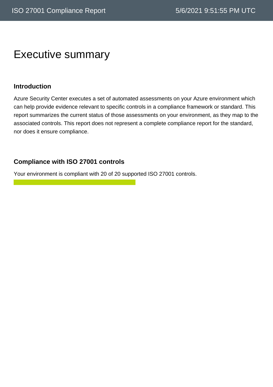### Executive summary

#### **Introduction**

Azure Security Center executes a set of automated assessments on your Azure environment which can help provide evidence relevant to specific controls in a compliance framework or standard. This report summarizes the current status of those assessments on your environment, as they map to the associated controls. This report does not represent a complete compliance report for the standard, nor does it ensure compliance.

#### **Compliance with ISO 27001 controls**

Your environment is compliant with 20 of 20 supported ISO 27001 controls.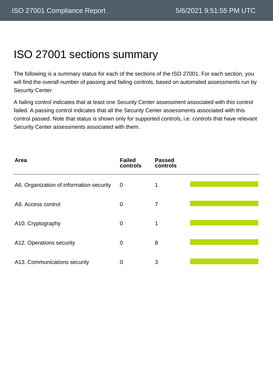# ISO 27001 sections summary

The following is a summary status for each of the sections of the ISO 27001. For each section, you will find the overall number of passing and failing controls, based on automated assessments run by Security Center.

A failing control indicates that at least one Security Center assessment associated with this control failed. A passing control indicates that all the Security Center assessments associated with this control passed. Note that status is shown only for supported controls, i.e. controls that have relevant Security Center assessments associated with them.

| Area                                     | <b>Failed</b><br>controls | <b>Passed</b><br>controls |  |
|------------------------------------------|---------------------------|---------------------------|--|
| A6. Organization of information security | $\overline{0}$            | 1                         |  |
| A9. Access control                       | $\mathbf 0$               | 7                         |  |
| A10. Cryptography                        | $\mathbf 0$               | 1                         |  |
| A12. Operations security                 | $\mathbf 0$               | 8                         |  |
| A13. Communications security             | 0                         | 3                         |  |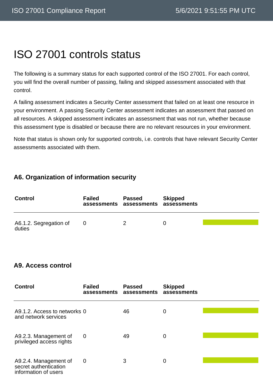# ISO 27001 controls status

The following is a summary status for each supported control of the ISO 27001. For each control, you will find the overall number of passing, failing and skipped assessment associated with that control.

A failing assessment indicates a Security Center assessment that failed on at least one resource in your environment. A passing Security Center assessment indicates an assessment that passed on all resources. A skipped assessment indicates an assessment that was not run, whether because this assessment type is disabled or because there are no relevant resources in your environment.

Note that status is shown only for supported controls, i.e. controls that have relevant Security Center assessments associated with them.

#### **A6. Organization of information security**

| <b>Control</b>                   | <b>Failed</b> | <b>Passed</b><br>assessments assessments assessments | <b>Skipped</b> |  |
|----------------------------------|---------------|------------------------------------------------------|----------------|--|
| A6.1.2. Segregation of<br>duties | 0             | 2                                                    |                |  |

#### **A9. Access control**

| <b>Control</b>                                                         | <b>Failed</b><br>assessments assessments | <b>Passed</b> | <b>Skipped</b><br>assessments |  |
|------------------------------------------------------------------------|------------------------------------------|---------------|-------------------------------|--|
| A9.1.2. Access to networks 0<br>and network services                   |                                          | 46            | 0                             |  |
| A9.2.3. Management of<br>privileged access rights                      | 0                                        | 49            | 0                             |  |
| A9.2.4. Management of<br>secret authentication<br>information of users | 0                                        | 3             | 0                             |  |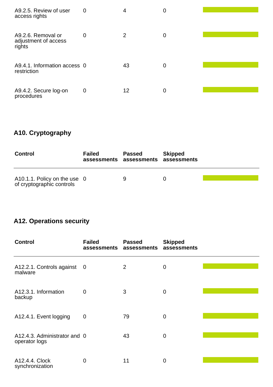| A9.2.5. Review of user<br>access rights              | 0              | 4  | 0 |  |
|------------------------------------------------------|----------------|----|---|--|
| A9.2.6. Removal or<br>adjustment of access<br>rights | 0              | 2  | 0 |  |
| A9.4.1. Information access 0<br>restriction          |                | 43 | 0 |  |
| A9.4.2. Secure log-on<br>procedures                  | $\overline{0}$ | 12 | 0 |  |

### **A10. Cryptography**

| <b>Control</b>                                            | <b>Failed</b> | <b>Passed</b><br>assessments assessments assessments | <b>Skipped</b> |  |
|-----------------------------------------------------------|---------------|------------------------------------------------------|----------------|--|
| A10.1.1. Policy on the use 0<br>of cryptographic controls |               | Q                                                    | $\Omega$       |  |

### **A12. Operations security**

| <b>Control</b>                                | <b>Failed</b><br>assessments | <b>Passed</b><br>assessments | <b>Skipped</b><br>assessments |  |
|-----------------------------------------------|------------------------------|------------------------------|-------------------------------|--|
| A12.2.1. Controls against 0<br>malware        |                              | $\overline{2}$               | 0                             |  |
| A12.3.1. Information<br>backup                | $\Omega$                     | 3                            | 0                             |  |
| A12.4.1. Event logging                        | $\overline{0}$               | 79                           | 0                             |  |
| A12.4.3. Administrator and 0<br>operator logs |                              | 43                           | 0                             |  |
| A12.4.4. Clock<br>synchronization             | $\mathbf 0$                  | 11                           | 0                             |  |